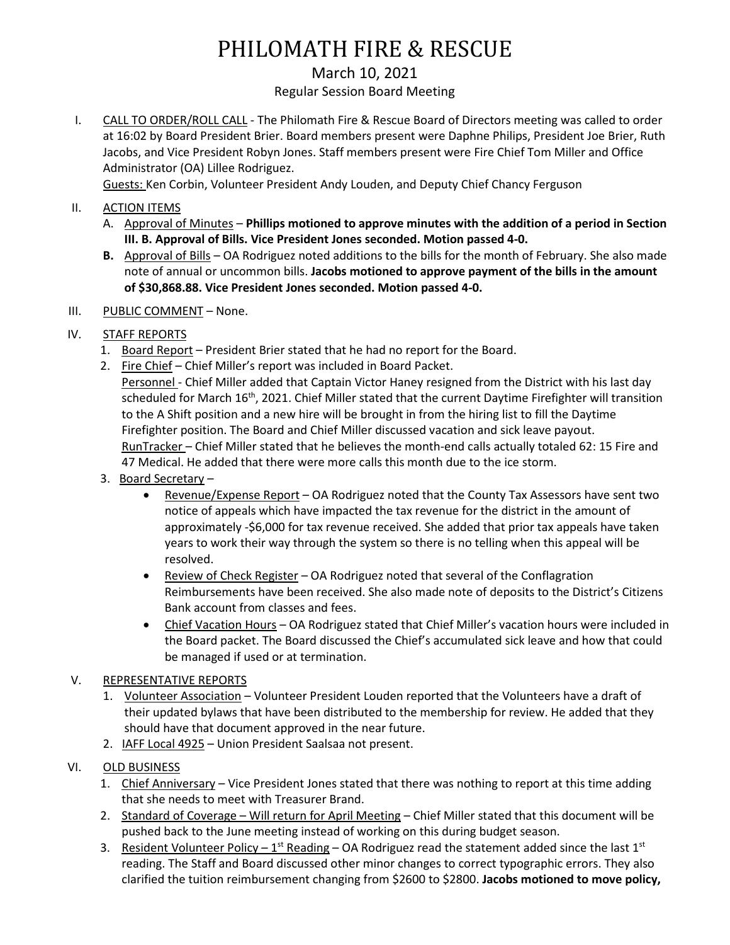# PHILOMATH FIRE & RESCUE

## March 10, 2021

## Regular Session Board Meeting

I. CALL TO ORDER/ROLL CALL - The Philomath Fire & Rescue Board of Directors meeting was called to order at 16:02 by Board President Brier. Board members present were Daphne Philips, President Joe Brier, Ruth Jacobs, and Vice President Robyn Jones. Staff members present were Fire Chief Tom Miller and Office Administrator (OA) Lillee Rodriguez.

Guests: Ken Corbin, Volunteer President Andy Louden, and Deputy Chief Chancy Ferguson

## II. ACTION ITEMS

- A. Approval of Minutes **Phillips motioned to approve minutes with the addition of a period in Section III. B. Approval of Bills. Vice President Jones seconded. Motion passed 4-0.**
- **B.** Approval of Bills OA Rodriguez noted additions to the bills for the month of February. She also made note of annual or uncommon bills. **Jacobs motioned to approve payment of the bills in the amount of \$30,868.88. Vice President Jones seconded. Motion passed 4-0.**
- III. PUBLIC COMMENT None.
- IV. STAFF REPORTS
	- 1. Board Report President Brier stated that he had no report for the Board.
	- 2. Fire Chief Chief Miller's report was included in Board Packet.
		- Personnel Chief Miller added that Captain Victor Haney resigned from the District with his last day scheduled for March 16<sup>th</sup>, 2021. Chief Miller stated that the current Daytime Firefighter will transition to the A Shift position and a new hire will be brought in from the hiring list to fill the Daytime Firefighter position. The Board and Chief Miller discussed vacation and sick leave payout. RunTracker – Chief Miller stated that he believes the month-end calls actually totaled 62: 15 Fire and 47 Medical. He added that there were more calls this month due to the ice storm.
	- 3. Board Secretary
		- Revenue/Expense Report OA Rodriguez noted that the County Tax Assessors have sent two notice of appeals which have impacted the tax revenue for the district in the amount of approximately -\$6,000 for tax revenue received. She added that prior tax appeals have taken years to work their way through the system so there is no telling when this appeal will be resolved.
		- Review of Check Register OA Rodriguez noted that several of the Conflagration Reimbursements have been received. She also made note of deposits to the District's Citizens Bank account from classes and fees.
		- Chief Vacation Hours OA Rodriguez stated that Chief Miller's vacation hours were included in the Board packet. The Board discussed the Chief's accumulated sick leave and how that could be managed if used or at termination.

## V. REPRESENTATIVE REPORTS

- 1. Volunteer Association Volunteer President Louden reported that the Volunteers have a draft of their updated bylaws that have been distributed to the membership for review. He added that they should have that document approved in the near future.
- 2. IAFF Local 4925 Union President Saalsaa not present.
- VI. OLD BUSINESS
	- 1. Chief Anniversary Vice President Jones stated that there was nothing to report at this time adding that she needs to meet with Treasurer Brand.
	- 2. Standard of Coverage Will return for April Meeting Chief Miller stated that this document will be pushed back to the June meeting instead of working on this during budget season.
	- 3. Resident Volunteer Policy  $1^{st}$  Reading OA Rodriguez read the statement added since the last  $1^{st}$ reading. The Staff and Board discussed other minor changes to correct typographic errors. They also clarified the tuition reimbursement changing from \$2600 to \$2800. **Jacobs motioned to move policy,**